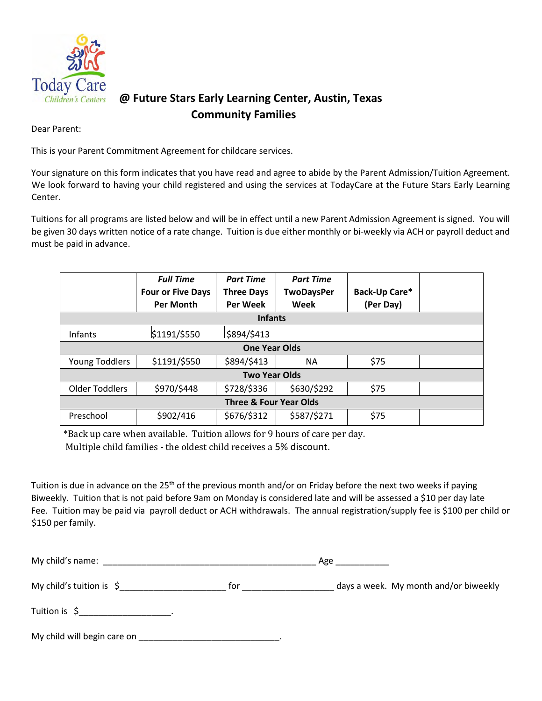

## **@ Future Stars Early Learning Center, Austin, Texas Community Families**

Dear Parent:

This is your Parent Commitment Agreement for childcare services.

Your signature on this form indicates that you have read and agree to abide by the Parent Admission/Tuition Agreement. We look forward to having your child registered and using the services at TodayCare at the Future Stars Early Learning Center.

Tuitions for all programs are listed below and will be in effect until a new Parent Admission Agreement is signed. You will be given 30 days written notice of a rate change. Tuition is due either monthly or bi-weekly via ACH or payroll deduct and must be paid in advance.

|                                   | <b>Full Time</b><br><b>Four or Five Days</b><br><b>Per Month</b> | <b>Part Time</b><br><b>Three Days</b><br><b>Per Week</b> | <b>Part Time</b><br><b>TwoDaysPer</b><br>Week | Back-Up Care*<br>(Per Day) |  |
|-----------------------------------|------------------------------------------------------------------|----------------------------------------------------------|-----------------------------------------------|----------------------------|--|
|                                   |                                                                  | <b>Infants</b>                                           |                                               |                            |  |
|                                   |                                                                  |                                                          |                                               |                            |  |
| Infants                           | \$1191/\$550                                                     | \$894/\$413                                              |                                               |                            |  |
| <b>One Year Olds</b>              |                                                                  |                                                          |                                               |                            |  |
| Young Toddlers                    | \$1191/\$550                                                     | \$894/\$413                                              | <b>NA</b>                                     | \$75                       |  |
| <b>Two Year Olds</b>              |                                                                  |                                                          |                                               |                            |  |
| <b>Older Toddlers</b>             | \$970/\$448                                                      | \$728/\$336                                              | \$630/\$292                                   | \$75                       |  |
| <b>Three &amp; Four Year Olds</b> |                                                                  |                                                          |                                               |                            |  |
| Preschool                         | \$902/416                                                        | \$676/\$312                                              | \$587/\$271                                   | \$75                       |  |

\*Back up care when available. Tuition allows for 9 hours of care per day.

Multiple child families - the oldest child receives a 5% discount.

Tuition is due in advance on the 25<sup>th</sup> of the previous month and/or on Friday before the next two weeks if paying Biweekly. Tuition that is not paid before 9am on Monday is considered late and will be assessed a \$10 per day late Fee. Tuition may be paid via payroll deduct or ACH withdrawals. The annual registration/supply fee is \$100 per child or \$150 per family.

| My child's name: $\overline{\phantom{a}}$                     |     | Age                                   |  |  |
|---------------------------------------------------------------|-----|---------------------------------------|--|--|
| My child's tuition is $\zeta$                                 | for | days a week. My month and/or biweekly |  |  |
| $T$ uition is $\zeta$ is a set of $\zeta$ is a set of $\zeta$ |     |                                       |  |  |
| My child will begin care on                                   |     |                                       |  |  |